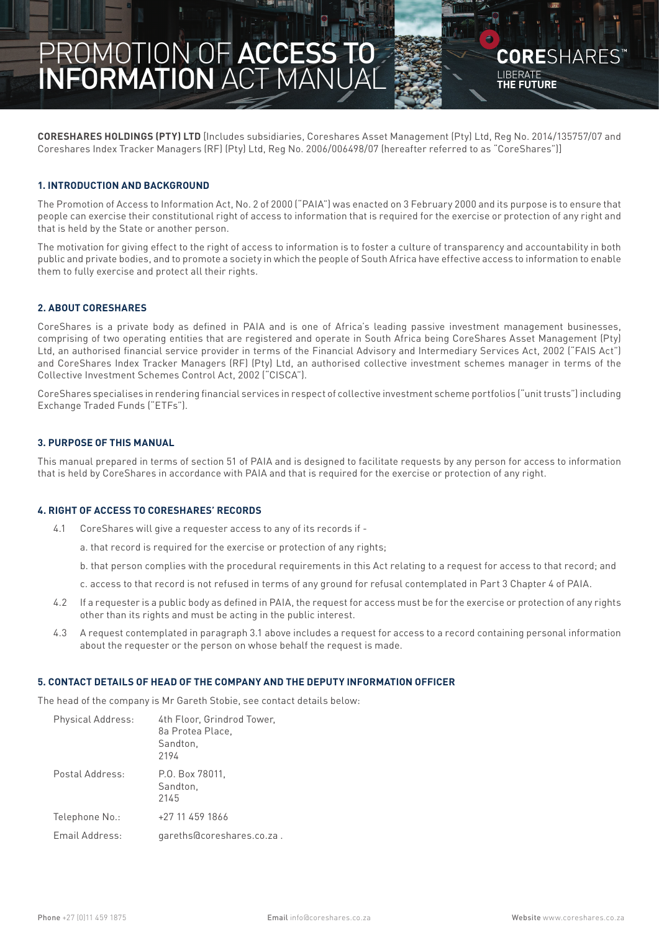# **PROMOTION OF ACCESS TO INFORMATION ACT MANUAL page 1** PROMOTION OF ACCESS TO INFORMATION ACT MANUAL

**CORESHARES HOLDINGS (PTY) LTD** [Includes subsidiaries, Coreshares Asset Management (Pty) Ltd, Reg No. 2014/135757/07 and Coreshares Index Tracker Managers (RF) (Pty) Ltd, Reg No. 2006/006498/07 (hereafter referred to as "CoreShares")]

LIBERATE **THE FUTURE**

CORFSHARFS

#### **1. INTRODUCTION AND BACKGROUND**

The Promotion of Access to Information Act, No. 2 of 2000 ("PAIA") was enacted on 3 February 2000 and its purpose is to ensure that people can exercise their constitutional right of access to information that is required for the exercise or protection of any right and that is held by the State or another person.

The motivation for giving effect to the right of access to information is to foster a culture of transparency and accountability in both public and private bodies, and to promote a society in which the people of South Africa have effective access to information to enable them to fully exercise and protect all their rights.

## **2. ABOUT CORESHARES**

CoreShares is a private body as defined in PAIA and is one of Africa's leading passive investment management businesses, comprising of two operating entities that are registered and operate in South Africa being CoreShares Asset Management (Pty) Ltd, an authorised financial service provider in terms of the Financial Advisory and Intermediary Services Act, 2002 ("FAIS Act") and CoreShares Index Tracker Managers (RF) (Pty) Ltd, an authorised collective investment schemes manager in terms of the Collective Investment Schemes Control Act, 2002 ("CISCA").

CoreShares specialises in rendering financial services in respect of collective investment scheme portfolios ("unit trusts") including Exchange Traded Funds ("ETFs").

## **3. PURPOSE OF THIS MANUAL**

This manual prepared in terms of section 51 of PAIA and is designed to facilitate requests by any person for access to information that is held by CoreShares in accordance with PAIA and that is required for the exercise or protection of any right.

#### **4. RIGHT OF ACCESS TO CORESHARES' RECORDS**

- 4.1 CoreShares will give a requester access to any of its records if
	- a. that record is required for the exercise or protection of any rights;
	- b. that person complies with the procedural requirements in this Act relating to a request for access to that record; and
	- c. access to that record is not refused in terms of any ground for refusal contemplated in Part 3 Chapter 4 of PAIA.
- 4.2 If a requester is a public body as defined in PAIA, the request for access must be for the exercise or protection of any rights other than its rights and must be acting in the public interest.
- 4.3 A request contemplated in paragraph 3.1 above includes a request for access to a record containing personal information about the requester or the person on whose behalf the request is made.

#### **5. CONTACT DETAILS OF HEAD OF THE COMPANY AND THE DEPUTY INFORMATION OFFICER**

The head of the company is Mr Gareth Stobie, see contact details below:

| Physical Address: | 4th Floor, Grindrod Tower,<br>8a Protea Place.<br>Sandton,<br>2194 |
|-------------------|--------------------------------------------------------------------|
| Postal Address:   | P.O. Box 78011.<br>Sandton.<br>2145                                |
| Telephone No.:    | +27 11 459 1866                                                    |
| Email Address:    | gareths@coreshares.co.za.                                          |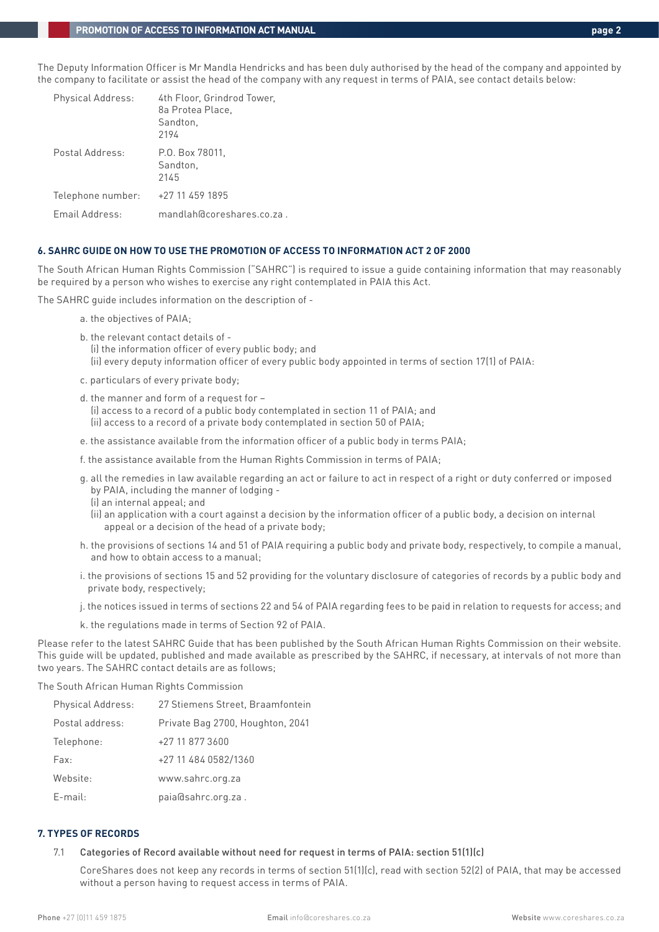The Deputy Information Officer is Mr Mandla Hendricks and has been duly authorised by the head of the company and appointed by the company to facilitate or assist the head of the company with any request in terms of PAIA, see contact details below:

| Physical Address: | 4th Floor, Grindrod Tower,<br>8a Protea Place,<br>Sandton,<br>2194 |
|-------------------|--------------------------------------------------------------------|
| Postal Address:   | P.O. Box 78011.<br>Sandton,<br>2145                                |
| Telephone number: | +27 11 459 1895                                                    |
| Email Address:    | mandlah@coreshares.co.za.                                          |

## **6. SAHRC GUIDE ON HOW TO USE THE PROMOTION OF ACCESS TO INFORMATION ACT 2 OF 2000**

The South African Human Rights Commission ("SAHRC") is required to issue a guide containing information that may reasonably be required by a person who wishes to exercise any right contemplated in PAIA this Act.

The SAHRC guide includes information on the description of -

- a. the objectives of PAIA;
- b. the relevant contact details of (i) the information officer of every public body; and (ii) every deputy information officer of every public body appointed in terms of section 17(1) of PAIA:
- c. particulars of every private body;

 d. the manner and form of a request for – (i) access to a record of a public body contemplated in section 11 of PAIA; and (ii) access to a record of a private body contemplated in section 50 of PAIA;

- e. the assistance available from the information officer of a public body in terms PAIA;
- f. the assistance available from the Human Rights Commission in terms of PAIA;
- g. all the remedies in law available regarding an act or failure to act in respect of a right or duty conferred or imposed by PAIA, including the manner of lodging -
	- (i) an internal appeal; and

(ii) an application with a court against a decision by the information officer of a public body, a decision on internal appeal or a decision of the head of a private body;

- h. the provisions of sections 14 and 51 of PAIA requiring a public body and private body, respectively, to compile a manual, and how to obtain access to a manual;
- i. the provisions of sections 15 and 52 providing for the voluntary disclosure of categories of records by a public body and private body, respectively;
- j. the notices issued in terms of sections 22 and 54 of PAIA regarding fees to be paid in relation to requests for access; and
- k. the regulations made in terms of Section 92 of PAIA.

Please refer to the latest SAHRC Guide that has been published by the South African Human Rights Commission on their website. This guide will be updated, published and made available as prescribed by the SAHRC, if necessary, at intervals of not more than two years. The SAHRC contact details are as follows;

The South African Human Rights Commission

| <b>Physical Address:</b> | 27 Stiemens Street, Braamfontein |
|--------------------------|----------------------------------|
| Postal address:          | Private Bag 2700, Houghton, 2041 |
| Telephone:               | +27 11 877 3600                  |
| Fax:                     | +27 11 484 0582/1360             |
| Website:                 | www.sahrc.org.za                 |
| $E$ -mail:               | paia@sahrc.org.za.               |

## **7. TYPES OF RECORDS**

7.1 Categories of Record available without need for request in terms of PAIA: section 51(1)(c)

 CoreShares does not keep any records in terms of section 51(1)(c), read with section 52(2) of PAIA, that may be accessed without a person having to request access in terms of PAIA.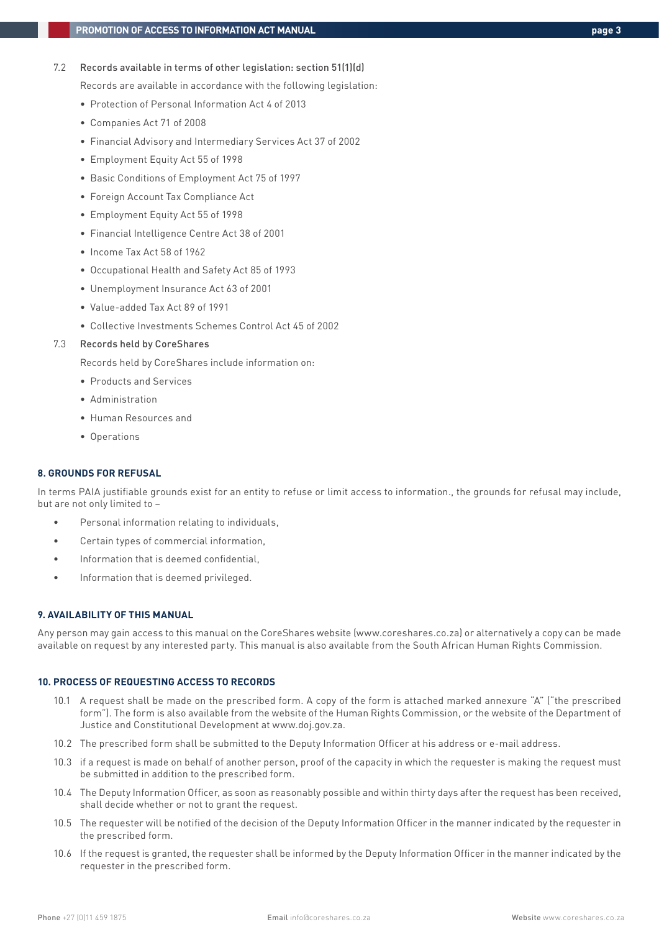7.2 Records available in terms of other legislation: section 51(1)(d)

Records are available in accordance with the following legislation:

- Protection of Personal Information Act 4 of 2013
- Companies Act 71 of 2008
- Financial Advisory and Intermediary Services Act 37 of 2002
- Employment Equity Act 55 of 1998
- Basic Conditions of Employment Act 75 of 1997
- Foreign Account Tax Compliance Act
- Employment Equity Act 55 of 1998
- Financial Intelligence Centre Act 38 of 2001
- Income Tax Act 58 of 1962
- Occupational Health and Safety Act 85 of 1993
- Unemployment Insurance Act 63 of 2001
- Value-added Tax Act 89 of 1991
- Collective Investments Schemes Control Act 45 of 2002

#### 7.3 Records held by CoreShares

Records held by CoreShares include information on:

- Products and Services
- Administration
- Human Resources and
- Operations

## **8. GROUNDS FOR REFUSAL**

In terms PAIA justifiable grounds exist for an entity to refuse or limit access to information., the grounds for refusal may include, but are not only limited to –

- Personal information relating to individuals,
- Certain types of commercial information,
- Information that is deemed confidential.
- Information that is deemed privileged.

#### **9. AVAILABILITY OF THIS MANUAL**

Any person may gain access to this manual on the CoreShares website (www.coreshares.co.za) or alternatively a copy can be made available on request by any interested party. This manual is also available from the South African Human Rights Commission.

## **10. PROCESS OF REQUESTING ACCESS TO RECORDS**

- 10.1 A request shall be made on the prescribed form. A copy of the form is attached marked annexure "A" ("the prescribed form"). The form is also available from the website of the Human Rights Commission, or the website of the Department of Justice and Constitutional Development at www.doj.gov.za.
- 10.2 The prescribed form shall be submitted to the Deputy Information Officer at his address or e-mail address.
- 10.3 if a request is made on behalf of another person, proof of the capacity in which the requester is making the request must be submitted in addition to the prescribed form.
- 10.4 The Deputy Information Officer, as soon as reasonably possible and within thirty days after the request has been received, shall decide whether or not to grant the request.
- 10.5 The requester will be notified of the decision of the Deputy Information Officer in the manner indicated by the requester in the prescribed form.
- 10.6 If the request is granted, the requester shall be informed by the Deputy Information Officer in the manner indicated by the requester in the prescribed form.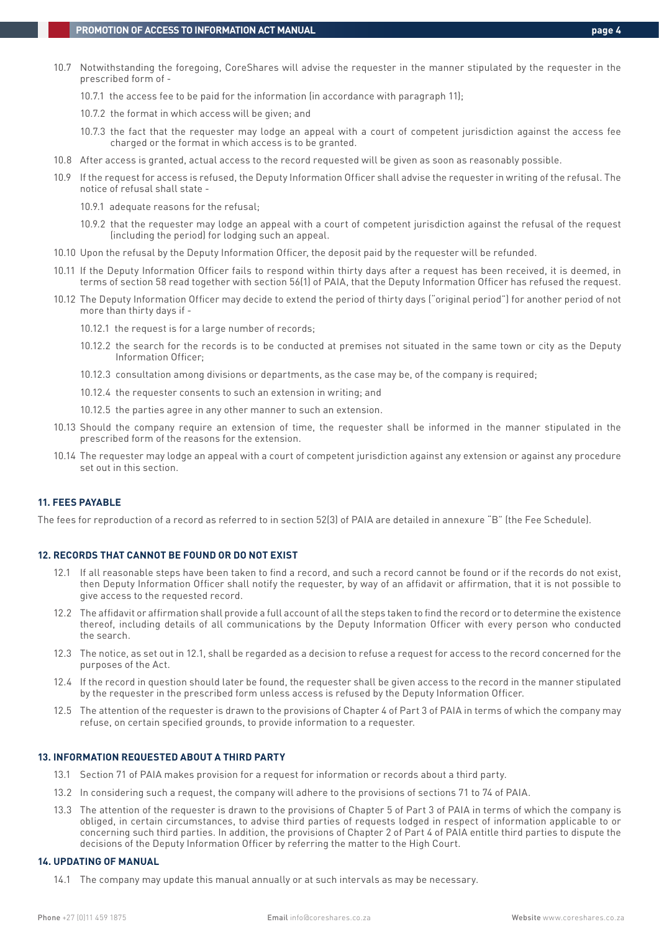- 10.7 Notwithstanding the foregoing, CoreShares will advise the requester in the manner stipulated by the requester in the prescribed form of -
	- 10.7.1 the access fee to be paid for the information (in accordance with paragraph 11);
	- 10.7.2 the format in which access will be given; and
	- 10.7.3 the fact that the requester may lodge an appeal with a court of competent jurisdiction against the access fee charged or the format in which access is to be granted.
- 10.8 After access is granted, actual access to the record requested will be given as soon as reasonably possible.
- 10.9 If the request for access is refused, the Deputy Information Officer shall advise the requester in writing of the refusal. The notice of refusal shall state -
	- 10.9.1 adequate reasons for the refusal;
	- 10.9.2 that the requester may lodge an appeal with a court of competent jurisdiction against the refusal of the request (including the period) for lodging such an appeal.
- 10.10 Upon the refusal by the Deputy Information Officer, the deposit paid by the requester will be refunded.
- 10.11 If the Deputy Information Officer fails to respond within thirty days after a request has been received, it is deemed, in terms of section 58 read together with section 56(1) of PAIA, that the Deputy Information Officer has refused the request.
- 10.12 The Deputy Information Officer may decide to extend the period of thirty days ("original period") for another period of not more than thirty days if -
	- 10.12.1 the request is for a large number of records;
	- 10.12.2 the search for the records is to be conducted at premises not situated in the same town or city as the Deputy Information Officer;
	- 10.12.3 consultation among divisions or departments, as the case may be, of the company is required;
	- 10.12.4 the requester consents to such an extension in writing; and
	- 10.12.5 the parties agree in any other manner to such an extension.
- 10.13 Should the company require an extension of time, the requester shall be informed in the manner stipulated in the prescribed form of the reasons for the extension.
- 10.14 The requester may lodge an appeal with a court of competent jurisdiction against any extension or against any procedure set out in this section.

#### **11. FEES PAYABLE**

The fees for reproduction of a record as referred to in section 52(3) of PAIA are detailed in annexure "B" (the Fee Schedule).

#### **12. RECORDS THAT CANNOT BE FOUND OR DO NOT EXIST**

- 12.1 If all reasonable steps have been taken to find a record, and such a record cannot be found or if the records do not exist, then Deputy Information Officer shall notify the requester, by way of an affidavit or affirmation, that it is not possible to give access to the requested record.
- 12.2 The affidavit or affirmation shall provide a full account of all the steps taken to find the record or to determine the existence thereof, including details of all communications by the Deputy Information Officer with every person who conducted the search.
- 12.3 The notice, as set out in 12.1, shall be regarded as a decision to refuse a request for access to the record concerned for the purposes of the Act.
- 12.4 If the record in question should later be found, the requester shall be given access to the record in the manner stipulated by the requester in the prescribed form unless access is refused by the Deputy Information Officer.
- 12.5 The attention of the requester is drawn to the provisions of Chapter 4 of Part 3 of PAIA in terms of which the company may refuse, on certain specified grounds, to provide information to a requester.

#### **13. INFORMATION REQUESTED ABOUT A THIRD PARTY**

- 13.1 Section 71 of PAIA makes provision for a request for information or records about a third party.
- 13.2 In considering such a request, the company will adhere to the provisions of sections 71 to 74 of PAIA.
- 13.3 The attention of the requester is drawn to the provisions of Chapter 5 of Part 3 of PAIA in terms of which the company is obliged, in certain circumstances, to advise third parties of requests lodged in respect of information applicable to or concerning such third parties. In addition, the provisions of Chapter 2 of Part 4 of PAIA entitle third parties to dispute the decisions of the Deputy Information Officer by referring the matter to the High Court.

#### **14. UPDATING OF MANUAL**

14.1 The company may update this manual annually or at such intervals as may be necessary.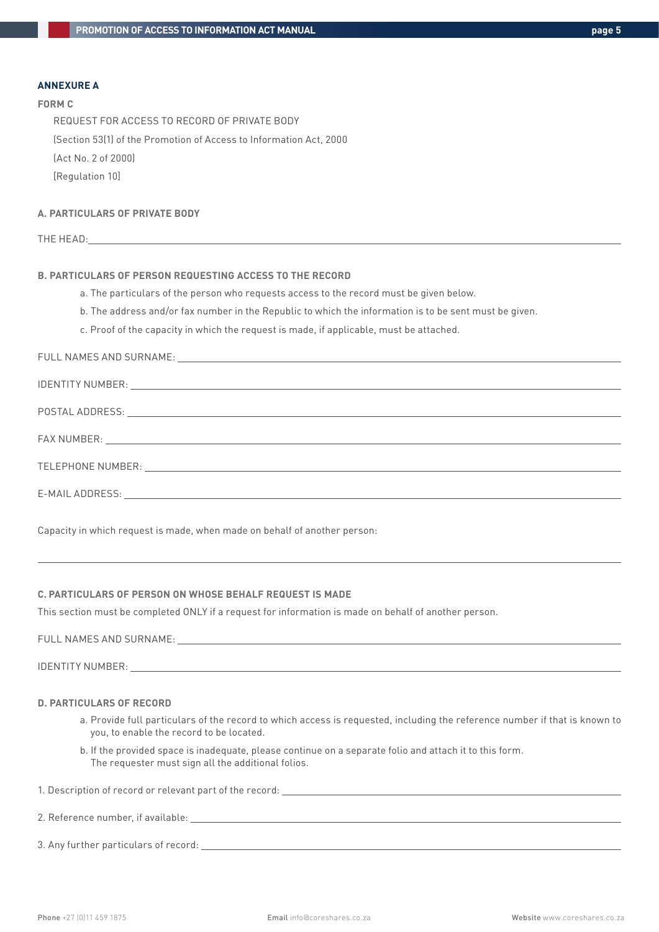#### **ANNEXURE A**

#### **FORM C**

REQUEST FOR ACCESS TO RECORD OF PRIVATE BODY (Section 53(1) of the Promotion of Access to Information Act, 2000 (Act No. 2 of 2000) [Regulation 10]

## **A. PARTICULARS OF PRIVATE BODY**

|--|

## **B. PARTICULARS OF PERSON REQUESTING ACCESS TO THE RECORD**

- a. The particulars of the person who requests access to the record must be given below.
- b. The address and/or fax number in the Republic to which the information is to be sent must be given.
- c. Proof of the capacity in which the request is made, if applicable, must be attached.

## FULL NAMES AND SURNAME:

| E-MAIL ADDRESS:<br><u> 1989 - Johann Stoff, amerikansk politiker (d. 1989)</u> |
|--------------------------------------------------------------------------------|

Capacity in which request is made, when made on behalf of another person:

#### **C. PARTICULARS OF PERSON ON WHOSE BEHALF REQUEST IS MADE**

This section must be completed ONLY if a request for information is made on behalf of another person.

FULL NAMES AND SURNAME:

 $\overline{a}$ 

IDENTITY NUMBER:

#### **D. PARTICULARS OF RECORD**

- a. Provide full particulars of the record to which access is requested, including the reference number if that is known to you, to enable the record to be located.
- b. If the provided space is inadequate, please continue on a separate folio and attach it to this form. The requester must sign all the additional folios.

1. Description of record or relevant part of the record:

## 2. Reference number, if available:

3. Any further particulars of record: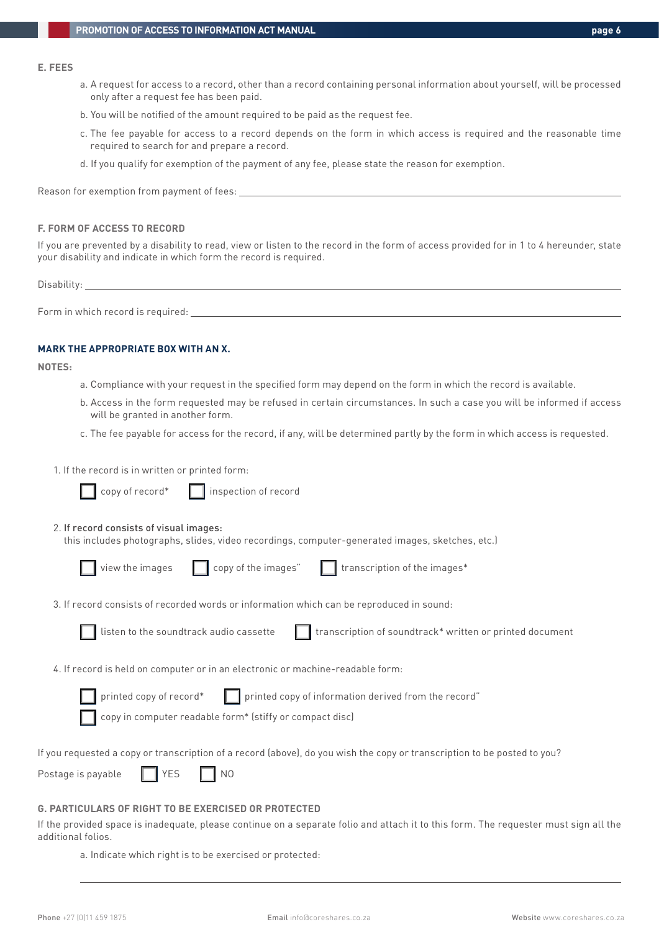#### **E. FEES**

- a. A request for access to a record, other than a record containing personal information about yourself, will be processed only after a request fee has been paid.
- b. You will be notified of the amount required to be paid as the request fee.
- c. The fee payable for access to a record depends on the form in which access is required and the reasonable time required to search for and prepare a record.
- d. If you qualify for exemption of the payment of any fee, please state the reason for exemption.

Reason for exemption from payment of fees:

#### **F. FORM OF ACCESS TO RECORD**

If you are prevented by a disability to read, view or listen to the record in the form of access provided for in 1 to 4 hereunder, state your disability and indicate in which form the record is required.

Disability:

Form in which record is required:

## **MARK THE APPROPRIATE BOX WITH AN X.**

**NOTES:**

- a. Compliance with your request in the specified form may depend on the form in which the record is available.
- b. Access in the form requested may be refused in certain circumstances. In such a case you will be informed if access will be granted in another form.

recordings, computer-generated images, sketches, etc.)

- c. The fee payable for access for the record, if any, will be determined partly by the form in which access is requested.
- 1. If the record is in written or printed form:

| copy of record* Inspection of record                                                                                                                                                                                                                                                                                                              |
|---------------------------------------------------------------------------------------------------------------------------------------------------------------------------------------------------------------------------------------------------------------------------------------------------------------------------------------------------|
| 2. If record consists of visual images:<br>this includes photographs, slides, video recordings, computer-generated images, sketche                                                                                                                                                                                                                |
| view the images and copy of the images" and transcription of the images*                                                                                                                                                                                                                                                                          |
| 3. If record consists of recorded words or information which can be reproduced in sound:                                                                                                                                                                                                                                                          |
| The contract of the contract of the contract of the contract of the contract of the contract of the contract of<br>the contract of the contract of the contract of the contract of the contract of the contract of the contract of the contract of the contract of the contract of the contract of the contract of the contract of the contract o |

listen to the soundtrack audio cassette the stranscription of soundtrack\* written or printed document

4. If record is held on computer or in an electronic or machine-readable form:

printed copy of record\* $\Box$  printed copy of information derived from the record"

copy in computer readable form\* (stiffy or compact disc)

If you requested a copy or transcription of a record (above), do you wish the copy or transcription to be posted to you?

| Postage is payable |  | <b>I</b> YFS |  | I NO |
|--------------------|--|--------------|--|------|
|--------------------|--|--------------|--|------|

## **G. PARTICULARS OF RIGHT TO BE EXERCISED OR PROTECTED**

If the provided space is inadequate, please continue on a separate folio and attach it to this form. The requester must sign all the additional folios.

a. Indicate which right is to be exercised or protected: